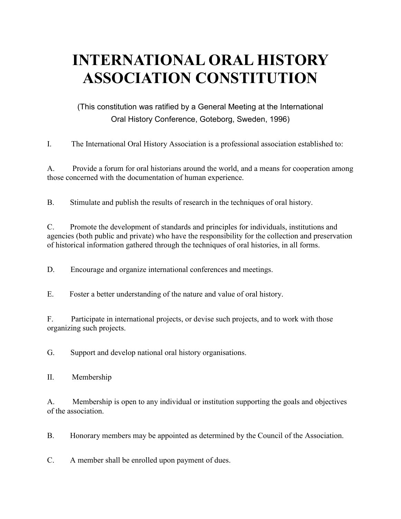# **INTERNATIONAL ORAL HISTORY ASSOCIATION CONSTITUTION**

(This constitution was ratified by a General Meeting at the International Oral History Conference, Goteborg, Sweden, 1996)

I. The International Oral History Association is a professional association established to:

A. Provide a forum for oral historians around the world, and a means for cooperation among those concerned with the documentation of human experience.

B. Stimulate and publish the results of research in the techniques of oral history.

C. Promote the development of standards and principles for individuals, institutions and agencies (both public and private) who have the responsibility for the collection and preservation of historical information gathered through the techniques of oral histories, in all forms.

D. Encourage and organize international conferences and meetings.

E. Foster a better understanding of the nature and value of oral history.

F. Participate in international projects, or devise such projects, and to work with those organizing such projects.

G. Support and develop national oral history organisations.

II. Membership

A. Membership is open to any individual or institution supporting the goals and objectives of the association.

B. Honorary members may be appointed as determined by the Council of the Association.

C. A member shall be enrolled upon payment of dues.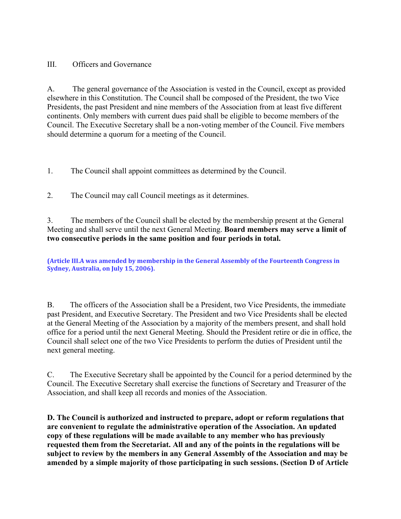### III. Officers and Governance

A. The general governance of the Association is vested in the Council, except as provided elsewhere in this Constitution. The Council shall be composed of the President, the two Vice Presidents, the past President and nine members of the Association from at least five different continents. Only members with current dues paid shall be eligible to become members of the Council. The Executive Secretary shall be a non-voting member of the Council. Five members should determine a quorum for a meeting of the Council.

1. The Council shall appoint committees as determined by the Council.

2. The Council may call Council meetings as it determines.

3. The members of the Council shall be elected by the membership present at the General Meeting and shall serve until the next General Meeting. **Board members may serve a limit of two consecutive periods in the same position and four periods in total.**

**(Article III.A was amended by membership in the General Assembly of the Fourteenth Congress in Sydney, Australia, on July 15, 2006).**

B. The officers of the Association shall be a President, two Vice Presidents, the immediate past President, and Executive Secretary. The President and two Vice Presidents shall be elected at the General Meeting of the Association by a majority of the members present, and shall hold office for a period until the next General Meeting. Should the President retire or die in office, the Council shall select one of the two Vice Presidents to perform the duties of President until the next general meeting.

C. The Executive Secretary shall be appointed by the Council for a period determined by the Council. The Executive Secretary shall exercise the functions of Secretary and Treasurer of the Association, and shall keep all records and monies of the Association.

**D. The Council is authorized and instructed to prepare, adopt or reform regulations that are convenient to regulate the administrative operation of the Association. An updated copy of these regulations will be made available to any member who has previously requested them from the Secretariat. All and any of the points in the regulations will be subject to review by the members in any General Assembly of the Association and may be amended by a simple majority of those participating in such sessions. (Section D of Article**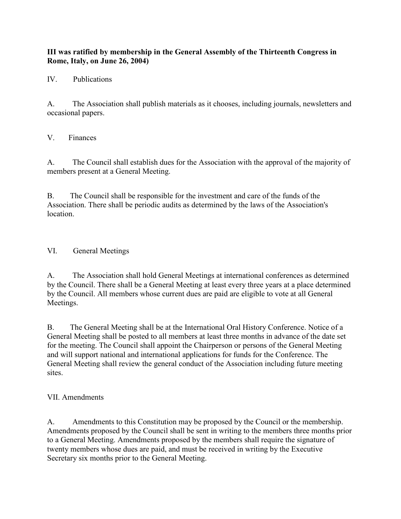### **III was ratified by membership in the General Assembly of the Thirteenth Congress in Rome, Italy, on June 26, 2004)**

IV. Publications

A. The Association shall publish materials as it chooses, including journals, newsletters and occasional papers.

V. Finances

A. The Council shall establish dues for the Association with the approval of the majority of members present at a General Meeting.

B. The Council shall be responsible for the investment and care of the funds of the Association. There shall be periodic audits as determined by the laws of the Association's location.

VI. General Meetings

A. The Association shall hold General Meetings at international conferences as determined by the Council. There shall be a General Meeting at least every three years at a place determined by the Council. All members whose current dues are paid are eligible to vote at all General Meetings.

B. The General Meeting shall be at the International Oral History Conference. Notice of a General Meeting shall be posted to all members at least three months in advance of the date set for the meeting. The Council shall appoint the Chairperson or persons of the General Meeting and will support national and international applications for funds for the Conference. The General Meeting shall review the general conduct of the Association including future meeting sites.

VII. Amendments

A. Amendments to this Constitution may be proposed by the Council or the membership. Amendments proposed by the Council shall be sent in writing to the members three months prior to a General Meeting. Amendments proposed by the members shall require the signature of twenty members whose dues are paid, and must be received in writing by the Executive Secretary six months prior to the General Meeting.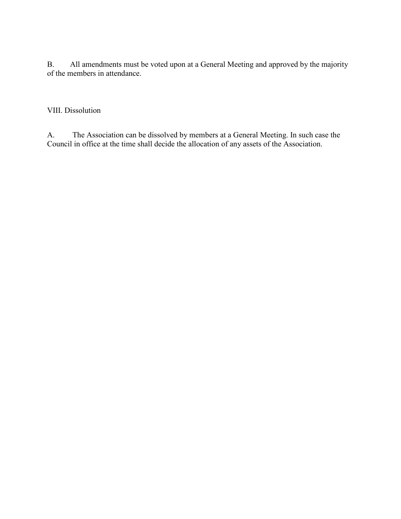B. All amendments must be voted upon at a General Meeting and approved by the majority of the members in attendance.

VIII. Dissolution

A. The Association can be dissolved by members at a General Meeting. In such case the Council in office at the time shall decide the allocation of any assets of the Association.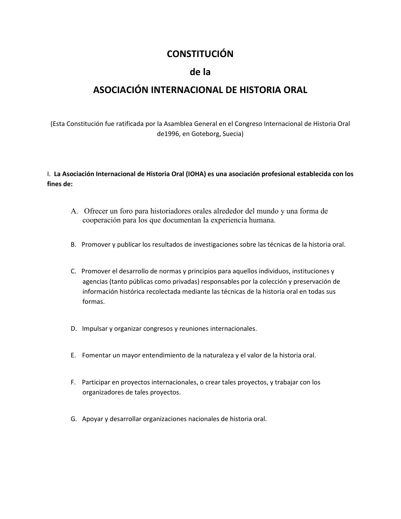## **CONSTITUCIÓN**

### **de la**

## **ASOCIACIÓN INTERNACIONAL DE HISTORIA ORAL**

(Esta Constitución fue ratificada por la Asamblea General en el Congreso Internacional de Historia Oral de1996, en Goteborg, Suecia)

I. **La Asociación Internacional de Historia Oral (IOHA) es una asociación profesional establecida con los fines de:**

- A. Ofrecer un foro para historiadores orales alrededor del mundo y una forma de cooperación para los que documentan la experiencia humana.
- B. Promover y publicar los resultados de investigaciones sobre las técnicas de la historia oral.
- C. Promover el desarrollo de normas y principios para aquellos individuos, instituciones y agencias (tanto públicas como privadas) responsables por la colección y preservación de información histórica recolectada mediante las técnicas de la historia oral en todas sus formas.
- D. Impulsar y organizar congresos y reuniones internacionales.
- E. Fomentar un mayor entendimiento de la naturaleza y el valor de la historia oral.
- F. Participar en proyectos internacionales, o crear tales proyectos, y trabajar con los organizadores de tales proyectos.
- G. Apoyar y desarrollar organizaciones nacionales de historia oral.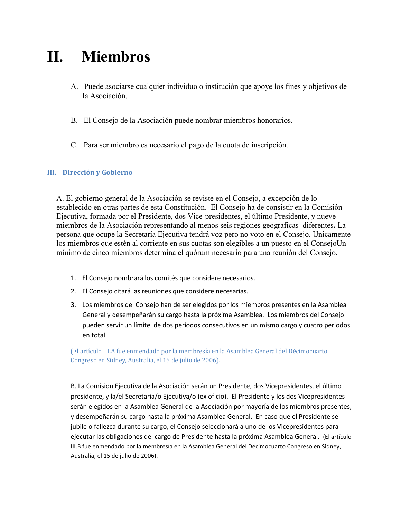## **II. Miembros**

- A. Puede asociarse cualquier individuo o institución que apoye los fines y objetivos de la Asociación.
- B. El Consejo de la Asociación puede nombrar miembros honorarios.
- C. Para ser miembro es necesario el pago de la cuota de inscripción.

#### **III. Dirección y Gobierno**

A. El gobierno general de la Asociación se reviste en el Consejo, a excepción de lo establecido en otras partes de esta Constitución. El Consejo ha de consistir en la Comisión Ejecutiva, formada por el Presidente, dos Vice-presidentes, el último Presidente, y nueve miembros de la Asociación representando al menos seis regiones geograficas diferentes**.** La persona que ocupe la Secretaría Ejecutiva tendrá voz pero no voto en el Consejo. Unicamente los miembros que estén al corriente en sus cuotas son elegibles a un puesto en el ConsejoUn mínimo de cinco miembros determina el quórum necesario para una reunión del Consejo.

- 1. El Consejo nombrará los comités que considere necesarios.
- 2. El Consejo citará las reuniones que considere necesarias.
- 3. Los miembros del Consejo han de ser elegidos por los miembros presentes en la Asamblea General y desempeñarán su cargo hasta la próxima Asamblea. Los miembros del Consejo pueden servir un límite de dos periodos consecutivos en un mismo cargo y cuatro periodos en total.

(El artículo III.A fue enmendado por la membresía en la Asamblea General del Décimocuarto Congreso en Sidney, Australia, el 15 de julio de 2006).

B. La Comision Ejecutiva de la Asociación serán un Presidente, dos Vicepresidentes, el último presidente, y la/el Secretaria/o Ejecutiva/o (ex oficio). El Presidente y los dos Vicepresidentes serán elegidos en la Asamblea General de la Asociación por mayoría de los miembros presentes, y desempeñarán su cargo hasta la próxima Asamblea General. En caso que el Presidente se jubile o fallezca durante su cargo, el Consejo seleccionará a uno de los Vicepresidentes para ejecutar las obligaciones del cargo de Presidente hasta la próxima Asamblea General. (El artículo III.B fue enmendado por la membresía en la Asamblea General del Décimocuarto Congreso en Sidney, Australia, el 15 de julio de 2006).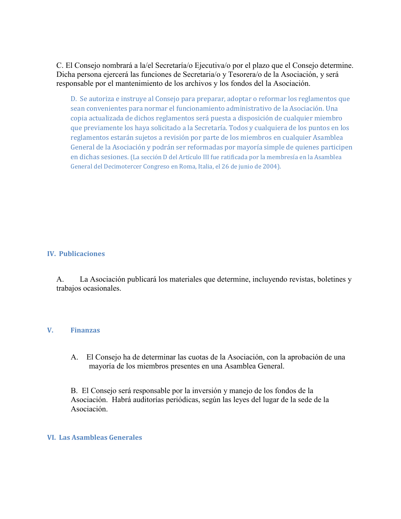C. El Consejo nombrará a la/el Secretaría/o Ejecutiva/o por el plazo que el Consejo determine. Dicha persona ejercerá las funciones de Secretaria/o y Tesorera/o de la Asociación, y será responsable por el mantenimiento de los archivos y los fondos del la Asociación.

D. Se autoriza e instruye al Consejo para preparar, adoptar o reformar los reglamentos que sean convenientes para normar el funcionamiento administrativo de la Asociación. Una copia actualizada de dichos reglamentos será puesta a disposición de cualquier miembro que previamente los haya solicitado a la Secretaría. Todos y cualquiera de los puntos en los reglamentos estarán sujetos a revisión por parte de los miembros en cualquier Asamblea General de la Asociación y podrán ser reformadas por mayoría simple de quienes participen en dichas sesiones. (La sección D del Artículo III fue ratificada por la membresía en la Asamblea General del Decimotercer Congreso en Roma, Italia, el 26 de junio de 2004).

#### **IV. Publicaciones**

A. La Asociación publicará los materiales que determine, incluyendo revistas, boletines y trabajos ocasionales.

#### **V. Finanzas**

A. El Consejo ha de determinar las cuotas de la Asociación, con la aprobación de una mayoría de los miembros presentes en una Asamblea General.

B. El Consejo será responsable por la inversión y manejo de los fondos de la Asociación. Habrá auditorías periódicas, según las leyes del lugar de la sede de la Asociación.

#### **VI. Las Asambleas Generales**